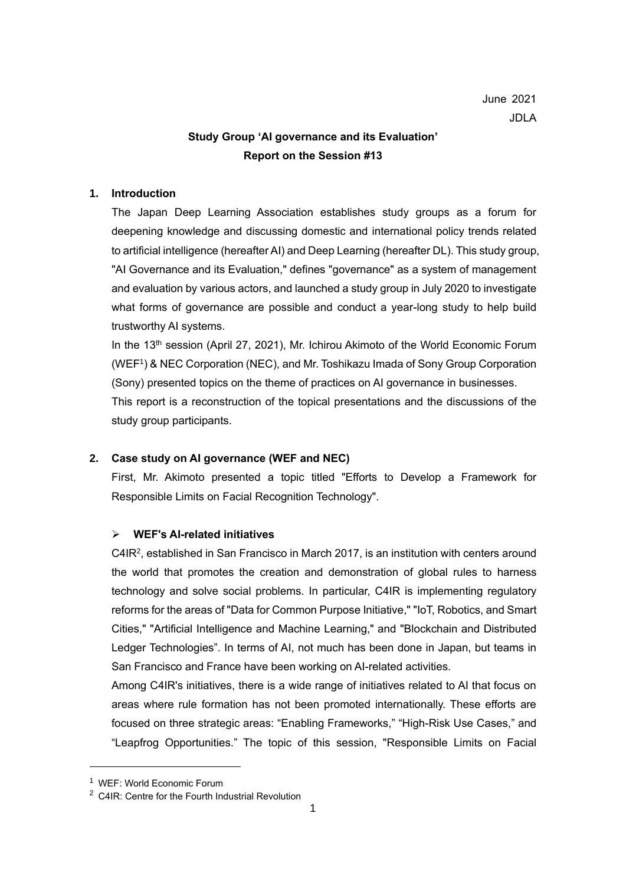# **Study Group 'AI governance and its Evaluation' Report on the Session #13**

# **1. Introduction**

The Japan Deep Learning Association establishes study groups as a forum for deepening knowledge and discussing domestic and international policy trends related to artificial intelligence (hereafter AI) and Deep Learning (hereafter DL). This study group, "AI Governance and its Evaluation," defines "governance" as a system of management and evaluation by various actors, and launched a study group in July 2020 to investigate what forms of governance are possible and conduct a year-long study to help build trustworthy AI systems.

In the 13<sup>th</sup> session (April 27, 2021), Mr. Ichirou Akimoto of the World Economic Forum (WEF<sup>1</sup>) & NEC Corporation (NEC), and Mr. Toshikazu Imada of Sony Group Corporation (Sony) presented topics on the theme of practices on AI governance in businesses.

This report is a reconstruction of the topical presentations and the discussions of the study group participants.

# **2. Case study on AI governance (WEF and NEC)**

First, Mr. Akimoto presented a topic titled "Efforts to Develop a Framework for Responsible Limits on Facial Recognition Technology".

# ➢ **WEF's AI-related initiatives**

C4IR<sup>2</sup>, established in San Francisco in March 2017, is an institution with centers around the world that promotes the creation and demonstration of global rules to harness technology and solve social problems. In particular, C4IR is implementing regulatory reforms for the areas of "Data for Common Purpose Initiative," "IoT, Robotics, and Smart Cities," "Artificial Intelligence and Machine Learning," and "Blockchain and Distributed Ledger Technologies". In terms of AI, not much has been done in Japan, but teams in San Francisco and France have been working on AI-related activities.

Among C4IR's initiatives, there is a wide range of initiatives related to AI that focus on areas where rule formation has not been promoted internationally. These efforts are focused on three strategic areas: "Enabling Frameworks," "High-Risk Use Cases," and "Leapfrog Opportunities." The topic of this session, "Responsible Limits on Facial

<sup>1</sup> WEF: World Economic Forum

<sup>2</sup> C4IR: Centre for the Fourth Industrial Revolution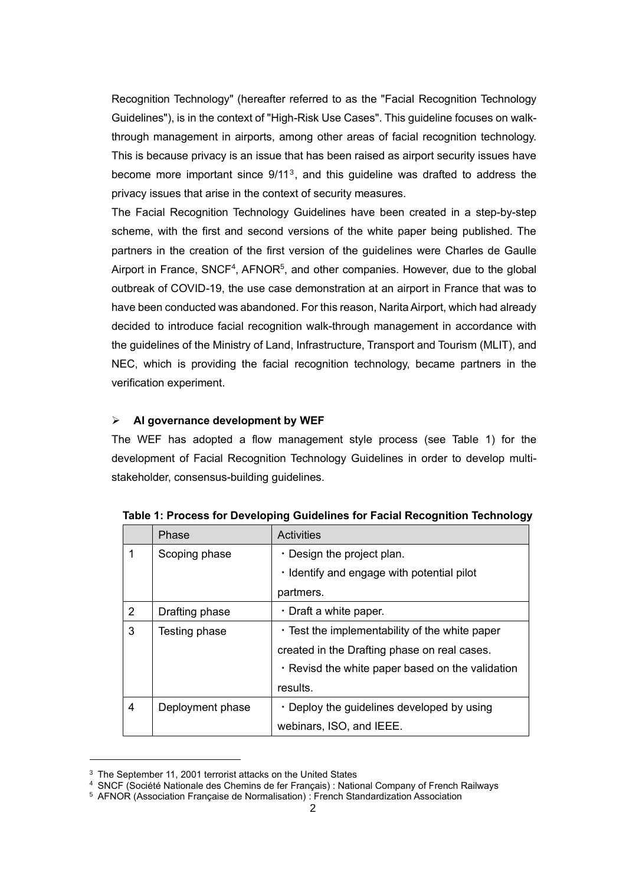Recognition Technology" (hereafter referred to as the "Facial Recognition Technology Guidelines"), is in the context of "High-Risk Use Cases". This guideline focuses on walkthrough management in airports, among other areas of facial recognition technology. This is because privacy is an issue that has been raised as airport security issues have become more important since  $9/11^3$ , and this guideline was drafted to address the privacy issues that arise in the context of security measures.

The Facial Recognition Technology Guidelines have been created in a step-by-step scheme, with the first and second versions of the white paper being published. The partners in the creation of the first version of the guidelines were Charles de Gaulle Airport in France, SNCF<sup>4</sup>, AFNOR<sup>5</sup>, and other companies. However, due to the global outbreak of COVID-19, the use case demonstration at an airport in France that was to have been conducted was abandoned. For this reason, Narita Airport, which had already decided to introduce facial recognition walk-through management in accordance with the guidelines of the Ministry of Land, Infrastructure, Transport and Tourism (MLIT), and NEC, which is providing the facial recognition technology, became partners in the verification experiment.

# ➢ **AI governance development by WEF**

The WEF has adopted a flow management style process (see Table 1) for the development of Facial Recognition Technology Guidelines in order to develop multistakeholder, consensus-building guidelines.

|   | Phase            | <b>Activities</b>                                      |
|---|------------------|--------------------------------------------------------|
| 1 | Scoping phase    | $\cdot$ Design the project plan.                       |
|   |                  | . Identify and engage with potential pilot             |
|   |                  | partmers.                                              |
| 2 | Drafting phase   | $\cdot$ Draft a white paper.                           |
| 3 | Testing phase    | $\cdot$ Test the implementability of the white paper   |
|   |                  | created in the Drafting phase on real cases.           |
|   |                  | $\cdot$ Revisd the white paper based on the validation |
|   |                  | results.                                               |
| 4 | Deployment phase | $\cdot$ Deploy the guidelines developed by using       |
|   |                  | webinars, ISO, and IEEE.                               |

**Table 1: Process for Developing Guidelines for Facial Recognition Technology**

<sup>&</sup>lt;sup>3</sup> The September 11, 2001 terrorist attacks on the United States

<sup>4</sup> SNCF (Société Nationale des Chemins de fer Français) : National Company of French Railways

<sup>5</sup> AFNOR (Association Française de Normalisation) : French Standardization Association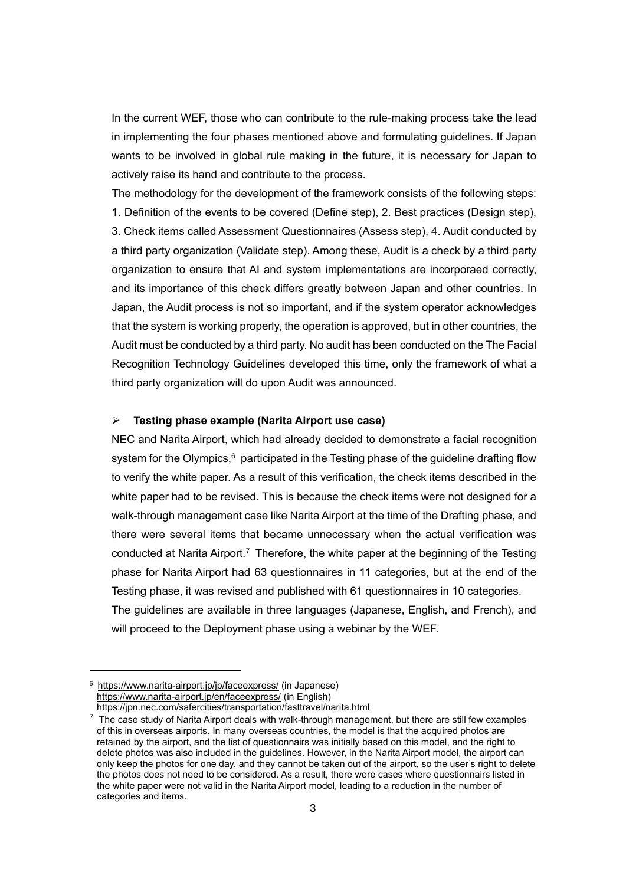In the current WEF, those who can contribute to the rule-making process take the lead in implementing the four phases mentioned above and formulating guidelines. If Japan wants to be involved in global rule making in the future, it is necessary for Japan to actively raise its hand and contribute to the process.

The methodology for the development of the framework consists of the following steps: 1. Definition of the events to be covered (Define step), 2. Best practices (Design step), 3. Check items called Assessment Questionnaires (Assess step), 4. Audit conducted by a third party organization (Validate step). Among these, Audit is a check by a third party organization to ensure that AI and system implementations are incorporaed correctly, and its importance of this check differs greatly between Japan and other countries. In Japan, the Audit process is not so important, and if the system operator acknowledges that the system is working properly, the operation is approved, but in other countries, the Audit must be conducted by a third party. No audit has been conducted on the The Facial Recognition Technology Guidelines developed this time, only the framework of what a third party organization will do upon Audit was announced.

#### ➢ **Testing phase example (Narita Airport use case)**

NEC and Narita Airport, which had already decided to demonstrate a facial recognition system for the Olympics, $6$  participated in the Testing phase of the quideline drafting flow to verify the white paper. As a result of this verification, the check items described in the white paper had to be revised. This is because the check items were not designed for a walk-through management case like Narita Airport at the time of the Drafting phase, and there were several items that became unnecessary when the actual verification was conducted at Narita Airport.<sup>7</sup> Therefore, the white paper at the beginning of the Testing phase for Narita Airport had 63 questionnaires in 11 categories, but at the end of the Testing phase, it was revised and published with 61 questionnaires in 10 categories. The guidelines are available in three languages (Japanese, English, and French), and will proceed to the Deployment phase using a webinar by the WEF.

<sup>&</sup>lt;sup>6</sup> <https://www.narita-airport.jp/jp/faceexpress/> (in Japanese) <https://www.narita-airport.jp/en/faceexpress/> (in English)

https://jpn.nec.com/safercities/transportation/fasttravel/narita.html

 $\frac{7}{7}$  The case study of Narita Airport deals with walk-through management, but there are still few examples of this in overseas airports. In many overseas countries, the model is that the acquired photos are retained by the airport, and the list of questionnairs was initially based on this model, and the right to delete photos was also included in the guidelines. However, in the Narita Airport model, the airport can only keep the photos for one day, and they cannot be taken out of the airport, so the user's right to delete the photos does not need to be considered. As a result, there were cases where questionnairs listed in the white paper were not valid in the Narita Airport model, leading to a reduction in the number of categories and items.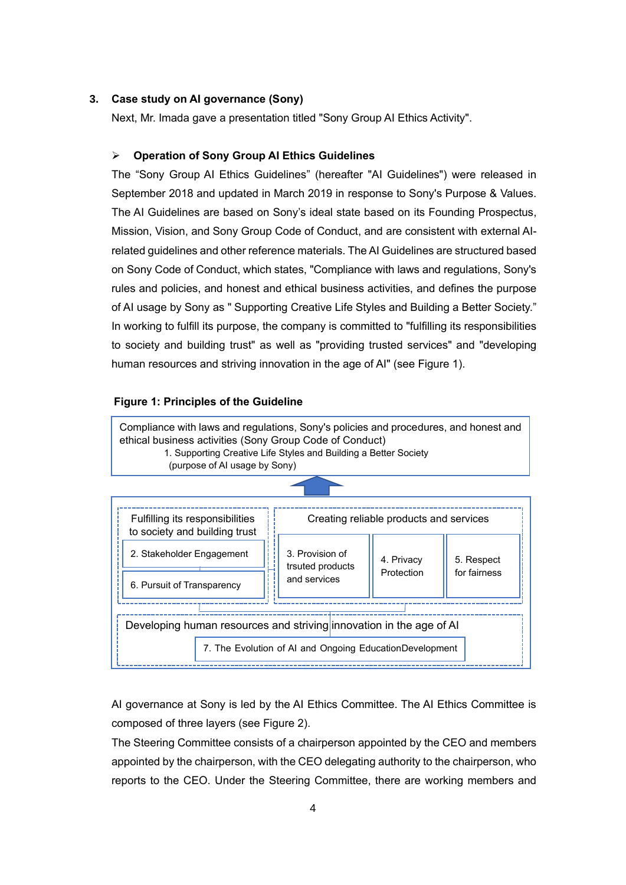### **3. Case study on AI governance (Sony)**

Next, Mr. Imada gave a presentation titled "Sony Group AI Ethics Activity".

### ➢ **Operation of Sony Group AI Ethics Guidelines**

The "Sony Group AI Ethics Guidelines" (hereafter "AI Guidelines") were released in September 2018 and updated in March 2019 in response to Sony's Purpose & Values. The AI Guidelines are based on Sony's ideal state based on its Founding Prospectus, Mission, Vision, and Sony Group Code of Conduct, and are consistent with external AIrelated guidelines and other reference materials. The AI Guidelines are structured based on Sony Code of Conduct, which states, "Compliance with laws and regulations, Sony's rules and policies, and honest and ethical business activities, and defines the purpose of AI usage by Sony as " Supporting Creative Life Styles and Building a Better Society." In working to fulfill its purpose, the company is committed to "fulfilling its responsibilities to society and building trust" as well as "providing trusted services" and "developing human resources and striving innovation in the age of AI" (see Figure 1).

### **Figure 1: Principles of the Guideline**



of AI and human resource

AI governance at Sony is led by the AI Ethics Committee. The AI Ethics Committee is composed of three layers (see Figure 2).

The Steering Committee consists of a chairperson appointed by the CEO and members appointed by the chairperson, with the CEO delegating authority to the chairperson, who reports to the CEO. Under the Steering Committee, there are working members and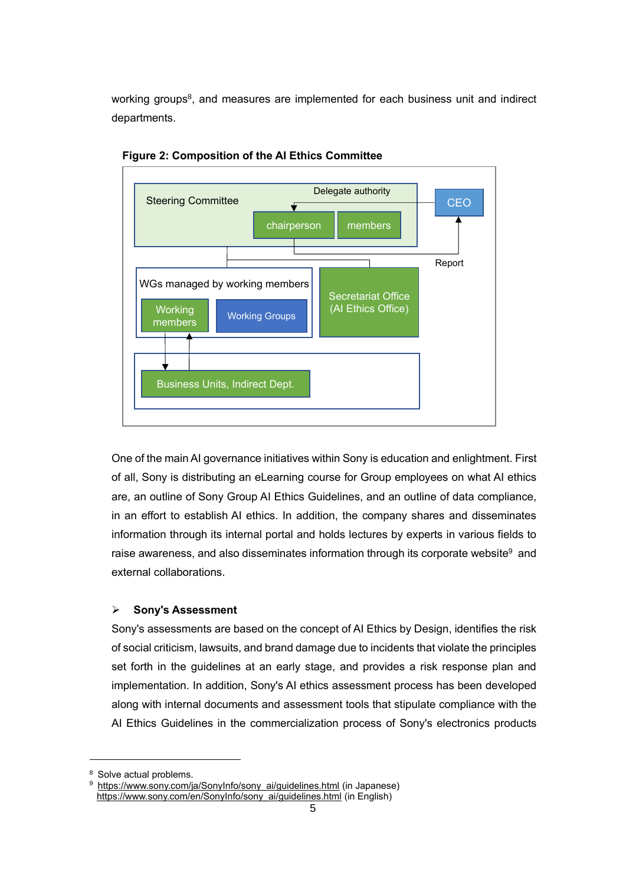working groups<sup>8</sup>, and measures are implemented for each business unit and indirect departments.



**Figure 2: Composition of the AI Ethics Committee**

One of the main AI governance initiatives within Sony is education and enlightment. First of all, Sony is distributing an eLearning course for Group employees on what AI ethics are, an outline of Sony Group AI Ethics Guidelines, and an outline of data compliance, in an effort to establish AI ethics. In addition, the company shares and disseminates information through its internal portal and holds lectures by experts in various fields to raise awareness, and also disseminates information through its corporate website<sup>9</sup> and external collaborations.

#### ➢ **Sony's Assessment**

Sony's assessments are based on the concept of AI Ethics by Design, identifies the risk of social criticism, lawsuits, and brand damage due to incidents that violate the principles set forth in the guidelines at an early stage, and provides a risk response plan and implementation. In addition, Sony's AI ethics assessment process has been developed along with internal documents and assessment tools that stipulate compliance with the AI Ethics Guidelines in the commercialization process of Sony's electronics products

<sup>&</sup>lt;sup>8</sup> Solve actual problems.

[https://www.sony.com/ja/SonyInfo/sony\\_ai/guidelines.html](https://www.sony.com/ja/SonyInfo/sony_ai/guidelines.html) (in Japanese) [https://www.sony.com/en/SonyInfo/sony\\_ai/guidelines.html](https://www.sony.com/en/SonyInfo/sony_ai/guidelines.html) (in English)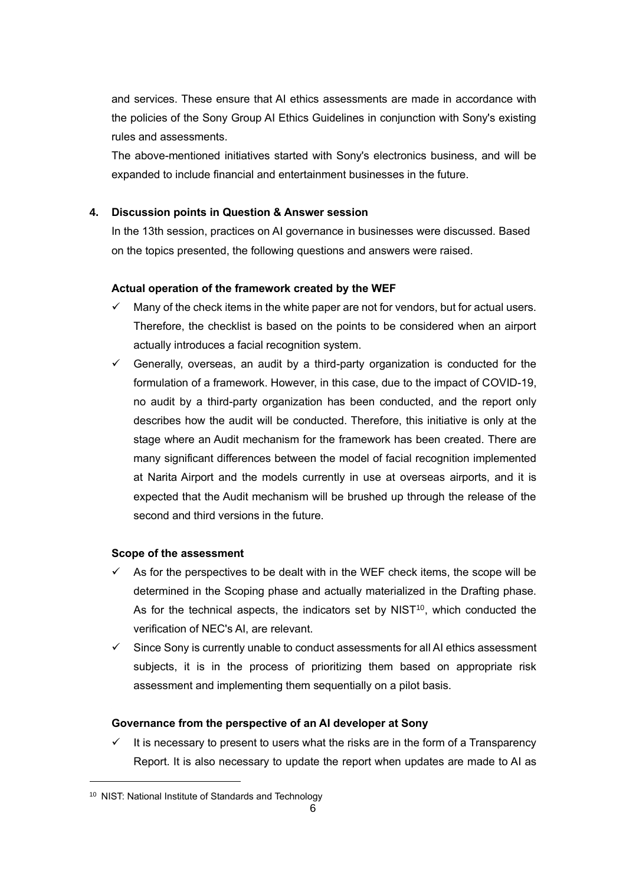and services. These ensure that AI ethics assessments are made in accordance with the policies of the Sony Group AI Ethics Guidelines in conjunction with Sony's existing rules and assessments.

The above-mentioned initiatives started with Sony's electronics business, and will be expanded to include financial and entertainment businesses in the future.

# **4. Discussion points in Question & Answer session**

In the 13th session, practices on AI governance in businesses were discussed. Based on the topics presented, the following questions and answers were raised.

# **Actual operation of the framework created by the WEF**

- Many of the check items in the white paper are not for vendors, but for actual users. Therefore, the checklist is based on the points to be considered when an airport actually introduces a facial recognition system.
- Generally, overseas, an audit by a third-party organization is conducted for the formulation of a framework. However, in this case, due to the impact of COVID-19, no audit by a third-party organization has been conducted, and the report only describes how the audit will be conducted. Therefore, this initiative is only at the stage where an Audit mechanism for the framework has been created. There are many significant differences between the model of facial recognition implemented at Narita Airport and the models currently in use at overseas airports, and it is expected that the Audit mechanism will be brushed up through the release of the second and third versions in the future.

### **Scope of the assessment**

- As for the perspectives to be dealt with in the WEF check items, the scope will be determined in the Scoping phase and actually materialized in the Drafting phase. As for the technical aspects, the indicators set by  $NIST^{10}$ , which conducted the verification of NEC's AI, are relevant.
- $\checkmark$  Since Sony is currently unable to conduct assessments for all AI ethics assessment subjects, it is in the process of prioritizing them based on appropriate risk assessment and implementing them sequentially on a pilot basis.

### **Governance from the perspective of an AI developer at Sony**

 $\checkmark$  It is necessary to present to users what the risks are in the form of a Transparency Report. It is also necessary to update the report when updates are made to AI as

<sup>10</sup> NIST: National Institute of Standards and Technology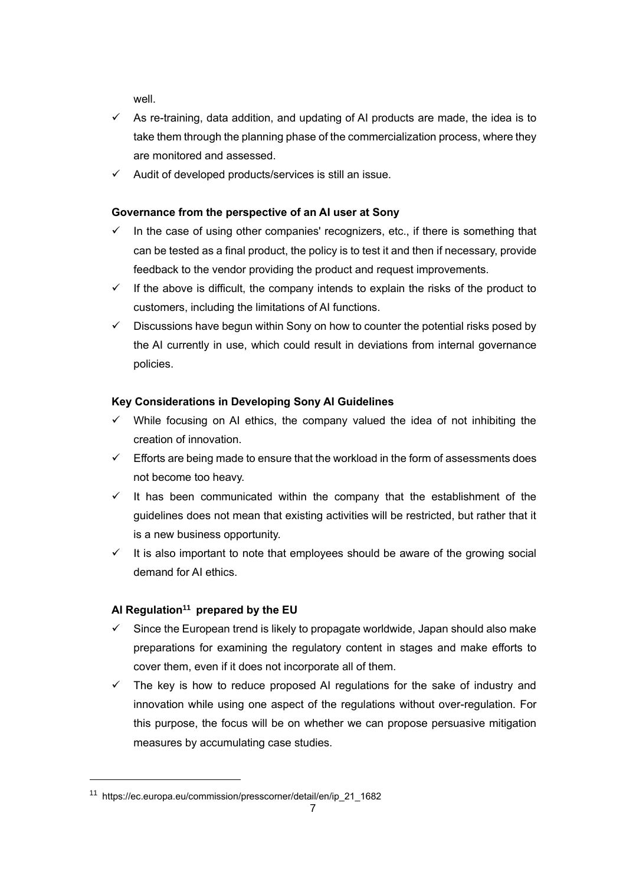well.

- $\checkmark$  As re-training, data addition, and updating of AI products are made, the idea is to take them through the planning phase of the commercialization process, where they are monitored and assessed.
- $\checkmark$  Audit of developed products/services is still an issue.

# **Governance from the perspective of an AI user at Sony**

- $\checkmark$  In the case of using other companies' recognizers, etc., if there is something that can be tested as a final product, the policy is to test it and then if necessary, provide feedback to the vendor providing the product and request improvements.
- $\checkmark$  If the above is difficult, the company intends to explain the risks of the product to customers, including the limitations of AI functions.
- $\checkmark$  Discussions have begun within Sony on how to counter the potential risks posed by the AI currently in use, which could result in deviations from internal governance policies.

# **Key Considerations in Developing Sony AI Guidelines**

- $\checkmark$  While focusing on AI ethics, the company valued the idea of not inhibiting the creation of innovation.
- $\checkmark$  Efforts are being made to ensure that the workload in the form of assessments does not become too heavy.
- $\checkmark$  It has been communicated within the company that the establishment of the guidelines does not mean that existing activities will be restricted, but rather that it is a new business opportunity.
- ✓ It is also important to note that employees should be aware of the growing social demand for AI ethics.

# **AI Regulation<sup>11</sup> prepared by the EU**

- Since the European trend is likely to propagate worldwide, Japan should also make preparations for examining the regulatory content in stages and make efforts to cover them, even if it does not incorporate all of them.
- $\checkmark$  The key is how to reduce proposed AI regulations for the sake of industry and innovation while using one aspect of the regulations without over-regulation. For this purpose, the focus will be on whether we can propose persuasive mitigation measures by accumulating case studies.

<sup>11</sup> https://ec.europa.eu/commission/presscorner/detail/en/ip\_21\_1682